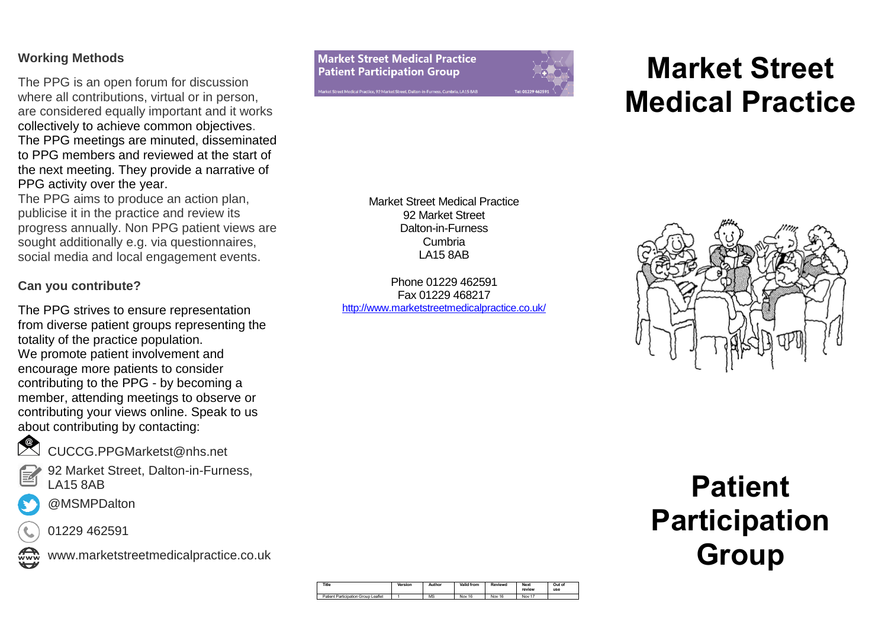### **Working Methods**

The PPG is an open forum for discussion where all contributions, virtual or in person, are considered equally important and it works collectively to achieve common objectives. The PPG meetings are minuted, disseminated to PPG members and reviewed at the start of the next meeting. They provide a narrative of PPG activity over the year.

The PPG aims to produce an action plan, publicise it in the practice and review its progress annually. Non PPG patient views are sought additionally e.g. via questionnaires, social media and local engagement events.

# **Can you contribute?**

The PPG strives to ensure representation from diverse patient groups representing the totality of the practice population. We promote patient involvement and encourage more patients to consider contributing to the PPG - by becoming a member, attending meetings to observe or contributing your views online. Speak to us about contributing by contacting:



CUCCG.PPGMarketst@nhs.net

92 Market Street, Dalton-in-Furness, LA15 8AB



01229 462591



www.marketstreetmedicalpractice.co.uk



# **Market Street Medical Practice**

Market Street Medical Practice 92 Market Street Dalton-in-Furness Cumbria LA15 8AB

Phone 01229 462591 Fax 01229 468217 <http://www.marketstreetmedicalpractice.co.uk/>



# **Patient Participation Group**

| Title                               | Version | Author | <b>Valid from</b> | Reviewd | <b>Next</b><br>review | Out of<br>use |
|-------------------------------------|---------|--------|-------------------|---------|-----------------------|---------------|
| Patient Participation Group Leaflet |         | MS     | Nov 16            | Nov 16  | Nov 17                |               |